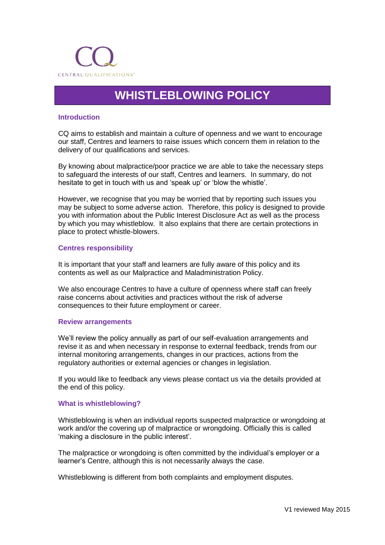

# **WHISTLEBLOWING POLICY**

# **Introduction**

CQ aims to establish and maintain a culture of openness and we want to encourage our staff, Centres and learners to raise issues which concern them in relation to the delivery of our qualifications and services.

By knowing about malpractice/poor practice we are able to take the necessary steps to safeguard the interests of our staff, Centres and learners. In summary, do not hesitate to get in touch with us and 'speak up' or 'blow the whistle'.

However, we recognise that you may be worried that by reporting such issues you may be subject to some adverse action. Therefore, this policy is designed to provide you with information about the Public Interest Disclosure Act as well as the process by which you may whistleblow. It also explains that there are certain protections in place to protect whistle-blowers.

### **Centres responsibility**

It is important that your staff and learners are fully aware of this policy and its contents as well as our Malpractice and Maladministration Policy.

We also encourage Centres to have a culture of openness where staff can freely raise concerns about activities and practices without the risk of adverse consequences to their future employment or career.

#### **Review arrangements**

We'll review the policy annually as part of our self-evaluation arrangements and revise it as and when necessary in response to external feedback, trends from our internal monitoring arrangements, changes in our practices, actions from the regulatory authorities or external agencies or changes in legislation.

If you would like to feedback any views please contact us via the details provided at the end of this policy.

#### **What is whistleblowing?**

Whistleblowing is when an individual reports suspected malpractice or wrongdoing at work and/or the covering up of malpractice or wrongdoing. Officially this is called 'making a disclosure in the public interest'.

The malpractice or wrongdoing is often committed by the individual's employer or a learner's Centre, although this is not necessarily always the case.

Whistleblowing is different from both complaints and employment disputes.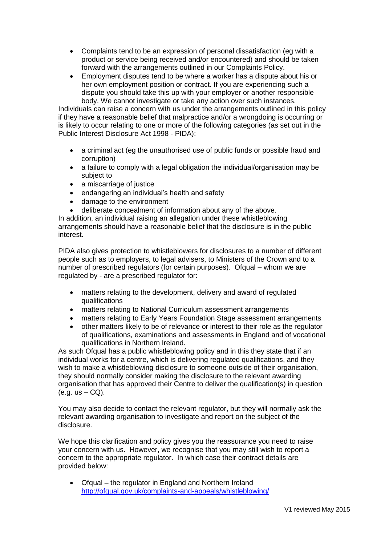- Complaints tend to be an expression of personal dissatisfaction (eg with a product or service being received and/or encountered) and should be taken forward with the arrangements outlined in our Complaints Policy.
- Employment disputes tend to be where a worker has a dispute about his or her own employment position or contract. If you are experiencing such a dispute you should take this up with your employer or another responsible body. We cannot investigate or take any action over such instances.

Individuals can raise a concern with us under the arrangements outlined in this policy if they have a reasonable belief that malpractice and/or a wrongdoing is occurring or is likely to occur relating to one or more of the following categories (as set out in the Public Interest Disclosure Act 1998 - PIDA):

- a criminal act (eg the unauthorised use of public funds or possible fraud and corruption)
- a failure to comply with a legal obligation the individual/organisation may be subject to
- a miscarriage of justice
- endangering an individual's health and safety
- damage to the environment
- deliberate concealment of information about any of the above.

In addition, an individual raising an allegation under these whistleblowing arrangements should have a reasonable belief that the disclosure is in the public interest.

PIDA also gives protection to whistleblowers for disclosures to a number of different people such as to employers, to legal advisers, to Ministers of the Crown and to a number of prescribed regulators (for certain purposes). Ofqual – whom we are regulated by - are a prescribed regulator for:

- matters relating to the development, delivery and award of regulated qualifications
- matters relating to National Curriculum assessment arrangements
- matters relating to Early Years Foundation Stage assessment arrangements
- other matters likely to be of relevance or interest to their role as the regulator of qualifications, examinations and assessments in England and of vocational qualifications in Northern Ireland.

As such Ofqual has a public whistleblowing policy and in this they state that if an individual works for a centre, which is delivering regulated qualifications, and they wish to make a whistleblowing disclosure to someone outside of their organisation, they should normally consider making the disclosure to the relevant awarding organisation that has approved their Centre to deliver the qualification(s) in question  $(e.g. us - CQ)$ .

You may also decide to contact the relevant regulator, but they will normally ask the relevant awarding organisation to investigate and report on the subject of the disclosure.

We hope this clarification and policy gives you the reassurance you need to raise your concern with us. However, we recognise that you may still wish to report a concern to the appropriate regulator. In which case their contract details are provided below:

• Ofqual – the regulator in England and Northern Ireland <http://ofqual.gov.uk/complaints-and-appeals/whistleblowing/>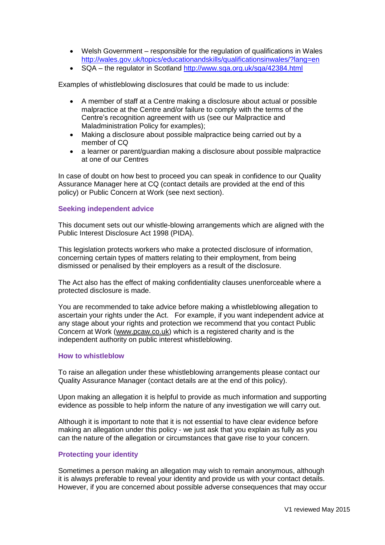- Welsh Government responsible for the regulation of qualifications in Wales <http://wales.gov.uk/topics/educationandskills/qualificationsinwales/?lang=en>
- SQA the regulator in Scotland<http://www.sqa.org.uk/sqa/42384.html>

Examples of whistleblowing disclosures that could be made to us include:

- A member of staff at a Centre making a disclosure about actual or possible malpractice at the Centre and/or failure to comply with the terms of the Centre's recognition agreement with us (see our Malpractice and Maladministration Policy for examples);
- Making a disclosure about possible malpractice being carried out by a member of CQ
- a learner or parent/guardian making a disclosure about possible malpractice at one of our Centres

In case of doubt on how best to proceed you can speak in confidence to our Quality Assurance Manager here at CQ (contact details are provided at the end of this policy) or Public Concern at Work (see next section).

## **Seeking independent advice**

This document sets out our whistle-blowing arrangements which are aligned with the Public Interest Disclosure Act 1998 (PIDA).

This legislation protects workers who make a protected disclosure of information, concerning certain types of matters relating to their employment, from being dismissed or penalised by their employers as a result of the disclosure.

The Act also has the effect of making confidentiality clauses unenforceable where a protected disclosure is made.

You are recommended to take advice before making a whistleblowing allegation to ascertain your rights under the Act. For example, if you want independent advice at any stage about your rights and protection we recommend that you contact Public Concern at Work [\(www.pcaw.co.uk\)](http://www.pcaw.co.uk/) which is a registered charity and is the independent authority on public interest whistleblowing.

#### **How to whistleblow**

To raise an allegation under these whistleblowing arrangements please contact our Quality Assurance Manager (contact details are at the end of this policy).

Upon making an allegation it is helpful to provide as much information and supporting evidence as possible to help inform the nature of any investigation we will carry out.

Although it is important to note that it is not essential to have clear evidence before making an allegation under this policy - we just ask that you explain as fully as you can the nature of the allegation or circumstances that gave rise to your concern.

## **Protecting your identity**

Sometimes a person making an allegation may wish to remain anonymous, although it is always preferable to reveal your identity and provide us with your contact details. However, if you are concerned about possible adverse consequences that may occur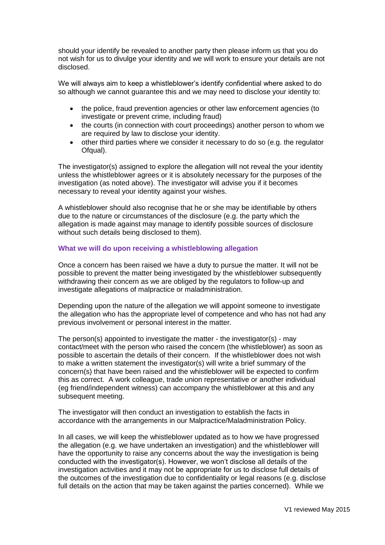should your identify be revealed to another party then please inform us that you do not wish for us to divulge your identity and we will work to ensure your details are not disclosed.

We will always aim to keep a whistleblower's identify confidential where asked to do so although we cannot guarantee this and we may need to disclose your identity to:

- the police, fraud prevention agencies or other law enforcement agencies (to investigate or prevent crime, including fraud)
- the courts (in connection with court proceedings) another person to whom we are required by law to disclose your identity.
- other third parties where we consider it necessary to do so (e.g. the regulator Ofqual).

The investigator(s) assigned to explore the allegation will not reveal the your identity unless the whistleblower agrees or it is absolutely necessary for the purposes of the investigation (as noted above). The investigator will advise you if it becomes necessary to reveal your identity against your wishes.

A whistleblower should also recognise that he or she may be identifiable by others due to the nature or circumstances of the disclosure (e.g. the party which the allegation is made against may manage to identify possible sources of disclosure without such details being disclosed to them).

# **What we will do upon receiving a whistleblowing allegation**

Once a concern has been raised we have a duty to pursue the matter. It will not be possible to prevent the matter being investigated by the whistleblower subsequently withdrawing their concern as we are obliged by the regulators to follow-up and investigate allegations of malpractice or maladministration.

Depending upon the nature of the allegation we will appoint someone to investigate the allegation who has the appropriate level of competence and who has not had any previous involvement or personal interest in the matter.

The person(s) appointed to investigate the matter - the investigator(s) - may contact/meet with the person who raised the concern (the whistleblower) as soon as possible to ascertain the details of their concern. If the whistleblower does not wish to make a written statement the investigator(s) will write a brief summary of the concern(s) that have been raised and the whistleblower will be expected to confirm this as correct. A work colleague, trade union representative or another individual (eg friend/independent witness) can accompany the whistleblower at this and any subsequent meeting.

The investigator will then conduct an investigation to establish the facts in accordance with the arrangements in our Malpractice/Maladministration Policy.

In all cases, we will keep the whistleblower updated as to how we have progressed the allegation (e.g. we have undertaken an investigation) and the whistleblower will have the opportunity to raise any concerns about the way the investigation is being conducted with the investigator(s). However, we won't disclose all details of the investigation activities and it may not be appropriate for us to disclose full details of the outcomes of the investigation due to confidentiality or legal reasons (e.g. disclose full details on the action that may be taken against the parties concerned). While we